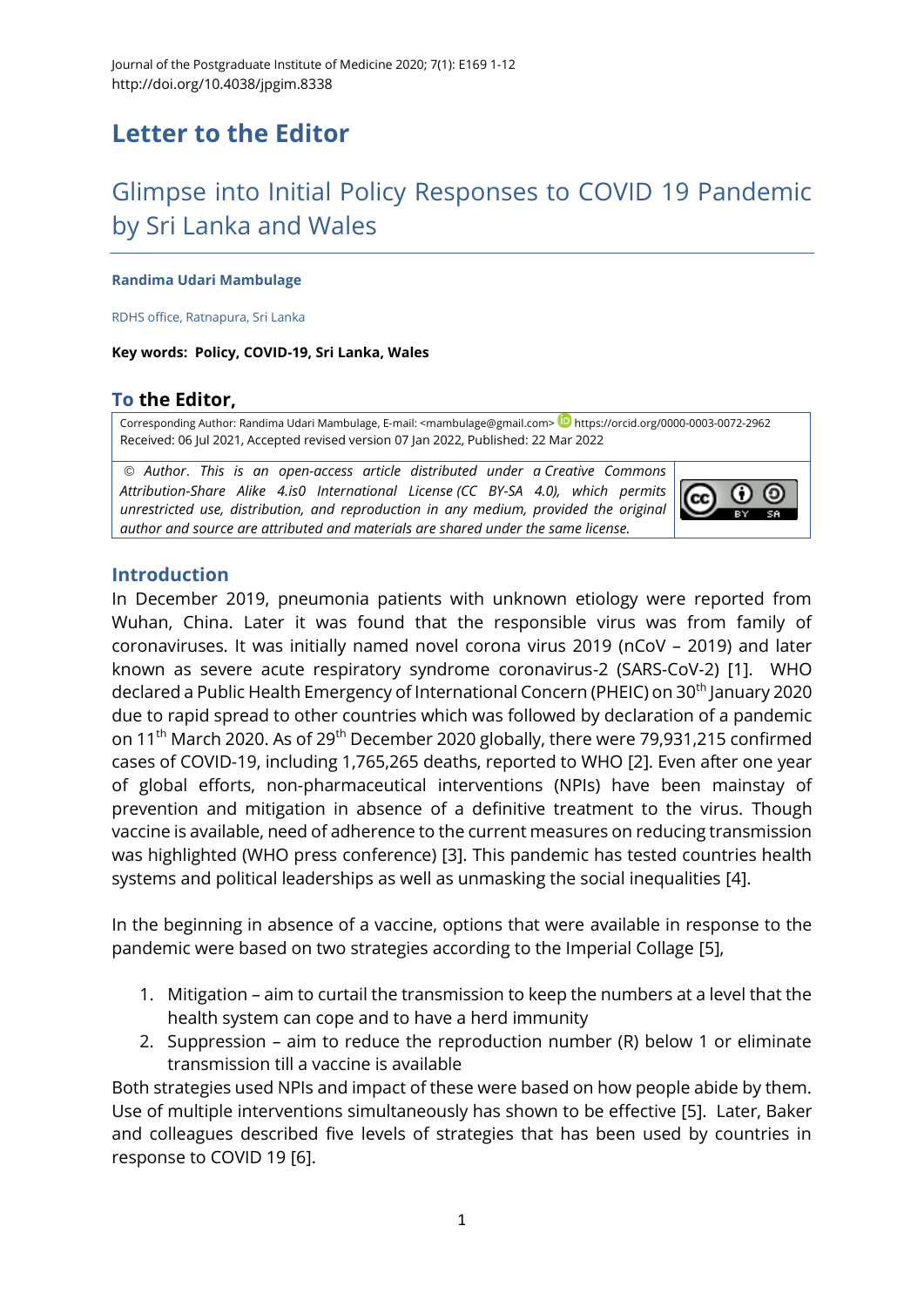# **Letter to the Editor**

# Glimpse into Initial Policy Responses to COVID 19 Pandemic by Sri Lanka and Wales

#### **Randima Udari Mambulage**

RDHS office, Ratnapura, Sri Lanka

**Key words: Policy, COVID-19, Sri Lanka, Wales**

## **To the Editor,**

Corresponding Author: Randima Udari Mambulage, E-mail: [<mambulage@gmail.com>](mailto:mambulage@gmail.com) <https://orcid.org/0000-0003-0072-2962> Received: 06 Jul 2021, Accepted revised version 07 Jan 2022, Published: 22 Mar 2022

© *Author*. *This is an open-access article distributed under a [Creative Commons](http://creativecommons.org/licenses/by-sa/4.0/)  [Attribution-Share Alike 4.is0 International License](http://creativecommons.org/licenses/by-sa/4.0/) (CC BY-SA 4.0), which permits unrestricted use, distribution, and reproduction in any medium, provided the original author and source are attributed and materials are shared under the same license.* 



### **Introduction**

In December 2019, pneumonia patients with unknown etiology were reported from Wuhan, China. Later it was found that the responsible virus was from family of coronaviruses. It was initially named novel corona virus 2019 (nCoV – 2019) and later known as severe acute respiratory syndrome coronavirus-2 (SARS-CoV-2) [\[1\]](#page-8-0). WHO declared a Public Health Emergency of International Concern (PHEIC) on 30th January 2020 due to rapid spread to other countries which was followed by declaration of a pandemic on 11th March 2020. As of 29th December 2020 globally, there were 79,931,215 confirmed cases of COVID-19, including 1,765,265 deaths, reported to WHO [\[2\]](#page-8-1). Even after one year of global efforts, non-pharmaceutical interventions (NPIs) have been mainstay of prevention and mitigation in absence of a definitive treatment to the virus. Though vaccine is available, need of adherence to the current measures on reducing transmission was highlighted (WHO press conference) [\[3\]](#page-8-2). This pandemic has tested countries health systems and political leaderships as well as unmasking the social inequalities [\[4\]](#page-8-3).

In the beginning in absence of a vaccine, options that were available in response to the pandemic were based on two strategies according to the Imperial Collage [5],

- 1. Mitigation aim to curtail the transmission to keep the numbers at a level that the health system can cope and to have a herd immunity
- 2. Suppression aim to reduce the reproduction number (R) below 1 or eliminate transmission till a vaccine is available

Both strategies used NPIs and impact of these were based on how people abide by them. Use of multiple interventions simultaneously has shown to be effective [\[5\]](#page-8-4). Later, Baker and colleagues described five levels of strategies that has been used by countries in response to COVID 19 [\[6\]](#page-8-5).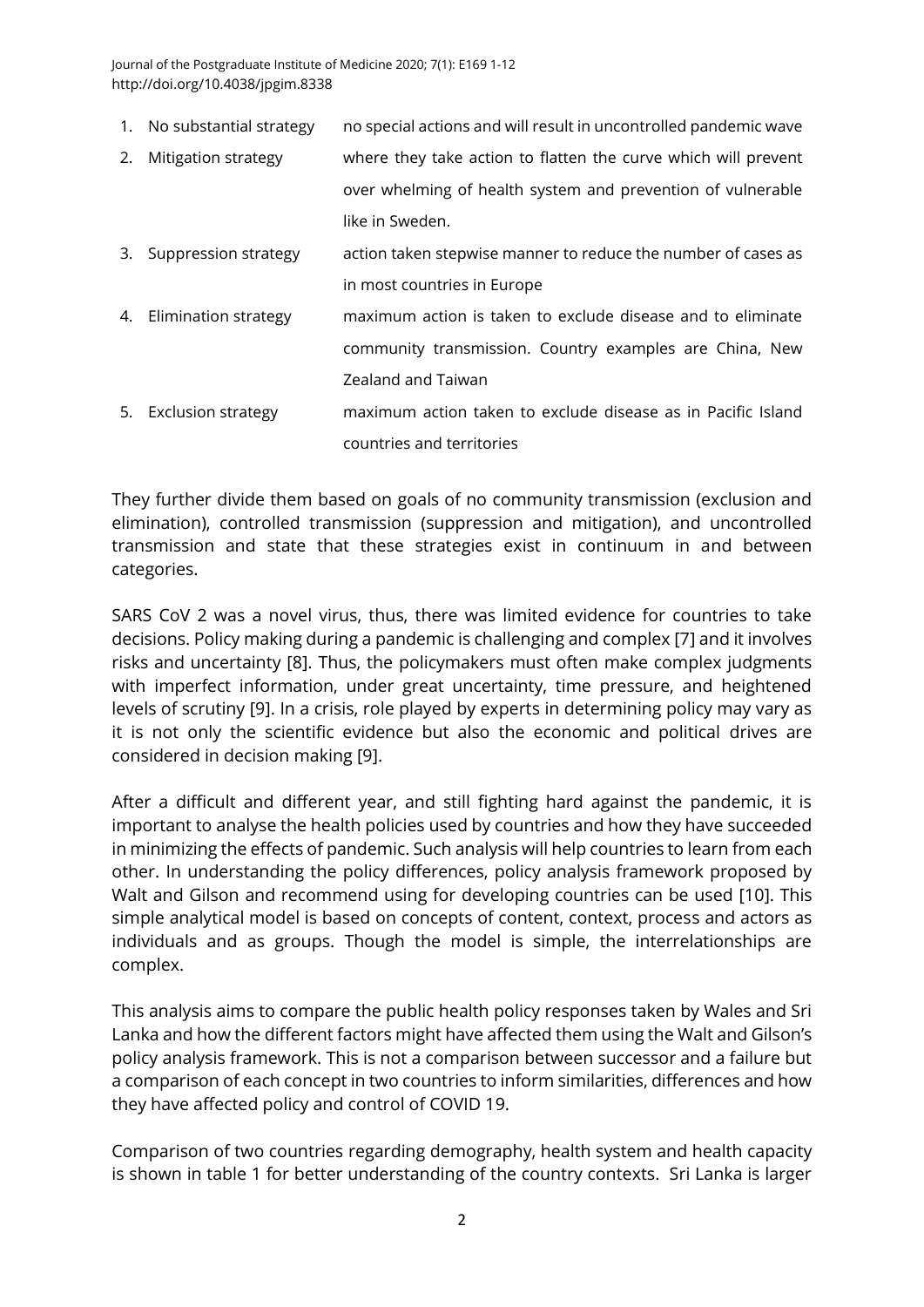Journal of the Postgraduate Institute of Medicine 2020; 7(1): E169 1-12 http://doi.org/10.4038/jpgim.8338

- 1. No substantial strategy no special actions and will result in uncontrolled pandemic wave
- 2. Mitigation strategy where they take action to flatten the curve which will prevent over whelming of health system and prevention of vulnerable like in Sweden.
- 3. Suppression strategy action taken stepwise manner to reduce the number of cases as in most countries in Europe
- 4. Elimination strategy maximum action is taken to exclude disease and to eliminate community transmission. Country examples are China, New Zealand and Taiwan
- 5. Exclusion strategy maximum action taken to exclude disease as in Pacific Island countries and territories

They further divide them based on goals of no community transmission (exclusion and elimination), controlled transmission (suppression and mitigation), and uncontrolled transmission and state that these strategies exist in continuum in and between categories.

SARS CoV 2 was a novel virus, thus, there was limited evidence for countries to take decisions. Policy making during a pandemic is challenging and complex [\[7\]](#page-9-0) and it involves risks and uncertainty [\[8\]](#page-9-1). Thus, the policymakers must often make complex judgments with imperfect information, under great uncertainty, time pressure, and heightened levels of scrutiny [\[9\]](#page-9-2). In a crisis, role played by experts in determining policy may vary as it is not only the scientific evidence but also the economic and political drives are considered in decision making [\[9\]](#page-9-2).

After a difficult and different year, and still fighting hard against the pandemic, it is important to analyse the health policies used by countries and how they have succeeded in minimizing the effects of pandemic. Such analysis will help countries to learn from each other. In understanding the policy differences, policy analysis framework proposed by Walt and Gilson and recommend using for developing countries can be used [\[10\]](#page-9-3). This simple analytical model is based on concepts of content, context, process and actors as individuals and as groups. Though the model is simple, the interrelationships are complex.

This analysis aims to compare the public health policy responses taken by Wales and Sri Lanka and how the different factors might have affected them using the Walt and Gilson's policy analysis framework. This is not a comparison between successor and a failure but a comparison of each concept in two countries to inform similarities, differences and how they have affected policy and control of COVID 19.

Comparison of two countries regarding demography, health system and health capacity is shown in table 1 for better understanding of the country contexts. Sri Lanka is larger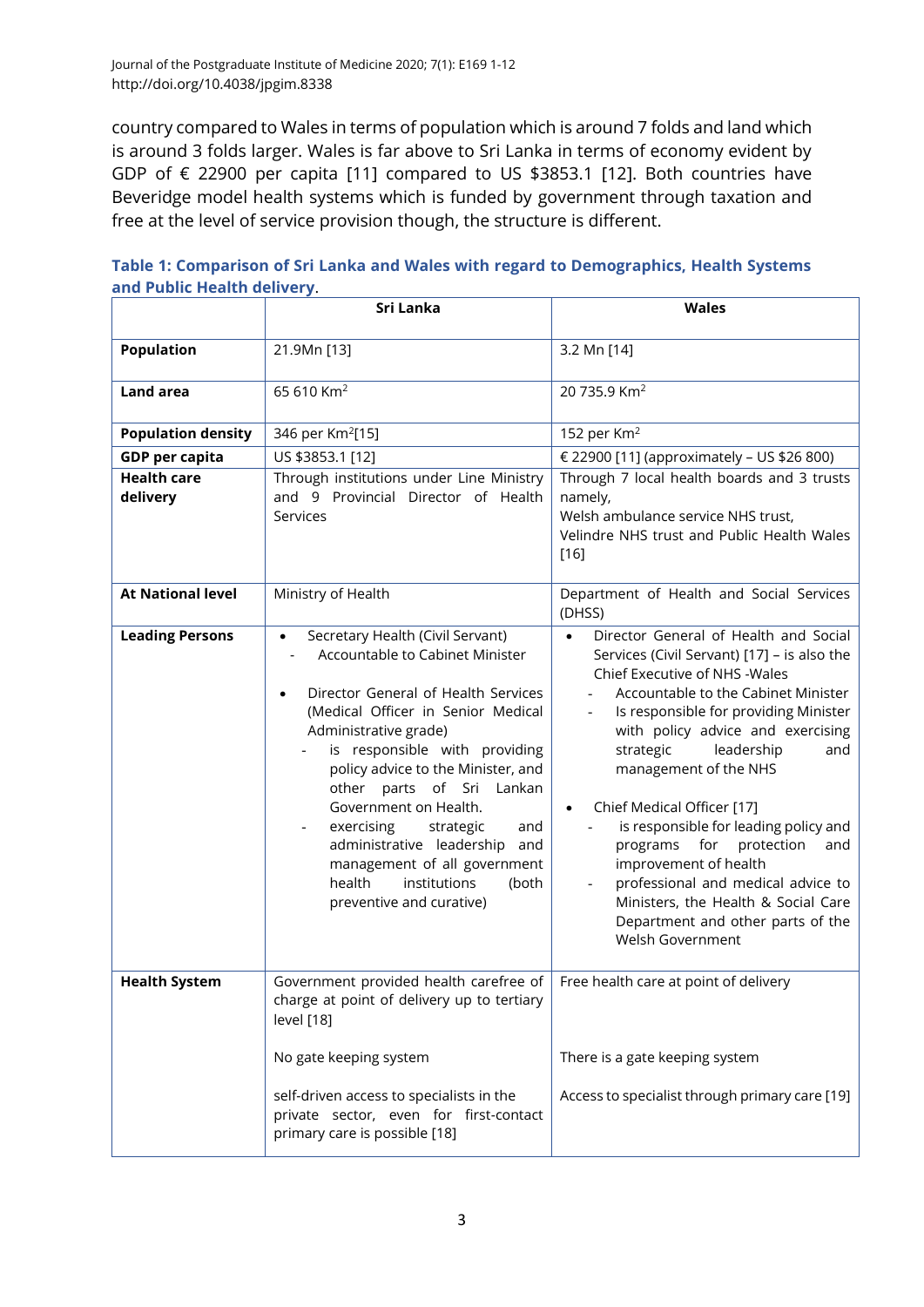country compared to Wales in terms of population which is around 7 folds and land which is around 3 folds larger. Wales is far above to Sri Lanka in terms of economy evident by GDP of € 22900 per capita [\[11\]](#page-9-4) compared to US \$3853.1 [\[12\]](#page-9-5). Both countries have Beveridge model health systems which is funded by government through taxation and free at the level of service provision though, the structure is different.

|                                | Sri Lanka                                                                                                                                                                                                                                                                                                                                                                                                                                                                                             | <b>Wales</b>                                                                                                                                                                                                                                                                                                                                                                                                                                                                                                                                                                                                                  |  |  |
|--------------------------------|-------------------------------------------------------------------------------------------------------------------------------------------------------------------------------------------------------------------------------------------------------------------------------------------------------------------------------------------------------------------------------------------------------------------------------------------------------------------------------------------------------|-------------------------------------------------------------------------------------------------------------------------------------------------------------------------------------------------------------------------------------------------------------------------------------------------------------------------------------------------------------------------------------------------------------------------------------------------------------------------------------------------------------------------------------------------------------------------------------------------------------------------------|--|--|
| <b>Population</b>              | 21.9Mn [13]                                                                                                                                                                                                                                                                                                                                                                                                                                                                                           | 3.2 Mn [14]                                                                                                                                                                                                                                                                                                                                                                                                                                                                                                                                                                                                                   |  |  |
| Land area                      | 65 610 Km <sup>2</sup>                                                                                                                                                                                                                                                                                                                                                                                                                                                                                | 20 735.9 Km <sup>2</sup>                                                                                                                                                                                                                                                                                                                                                                                                                                                                                                                                                                                                      |  |  |
| <b>Population density</b>      | 346 per Km <sup>2</sup> [15]                                                                                                                                                                                                                                                                                                                                                                                                                                                                          | 152 per Km <sup>2</sup>                                                                                                                                                                                                                                                                                                                                                                                                                                                                                                                                                                                                       |  |  |
| <b>GDP</b> per capita          | US \$3853.1 [12]                                                                                                                                                                                                                                                                                                                                                                                                                                                                                      | € 22900 [11] (approximately - US \$26 800)                                                                                                                                                                                                                                                                                                                                                                                                                                                                                                                                                                                    |  |  |
| <b>Health care</b><br>delivery | Through institutions under Line Ministry<br>and 9 Provincial Director of Health<br>Services                                                                                                                                                                                                                                                                                                                                                                                                           | Through 7 local health boards and 3 trusts<br>namely,<br>Welsh ambulance service NHS trust,<br>Velindre NHS trust and Public Health Wales<br>$[16]$                                                                                                                                                                                                                                                                                                                                                                                                                                                                           |  |  |
| <b>At National level</b>       | Ministry of Health                                                                                                                                                                                                                                                                                                                                                                                                                                                                                    | Department of Health and Social Services<br>(DHSS)                                                                                                                                                                                                                                                                                                                                                                                                                                                                                                                                                                            |  |  |
| <b>Leading Persons</b>         | Secretary Health (Civil Servant)<br>$\bullet$<br>Accountable to Cabinet Minister<br>Director General of Health Services<br>$\bullet$<br>(Medical Officer in Senior Medical<br>Administrative grade)<br>is responsible with providing<br>policy advice to the Minister, and<br>other parts of Sri Lankan<br>Government on Health.<br>exercising<br>strategic<br>and<br>administrative leadership<br>and<br>management of all government<br>health<br>institutions<br>(both<br>preventive and curative) | Director General of Health and Social<br>Services (Civil Servant) [17] - is also the<br>Chief Executive of NHS - Wales<br>Accountable to the Cabinet Minister<br>Is responsible for providing Minister<br>$\overline{\phantom{a}}$<br>with policy advice and exercising<br>strategic<br>leadership<br>and<br>management of the NHS<br>Chief Medical Officer [17]<br>$\bullet$<br>is responsible for leading policy and<br>programs<br>for<br>protection<br>and<br>improvement of health<br>professional and medical advice to<br>Ministers, the Health & Social Care<br>Department and other parts of the<br>Welsh Government |  |  |
| <b>Health System</b>           | Government provided health carefree of<br>charge at point of delivery up to tertiary<br>level [18]                                                                                                                                                                                                                                                                                                                                                                                                    | Free health care at point of delivery                                                                                                                                                                                                                                                                                                                                                                                                                                                                                                                                                                                         |  |  |
|                                | No gate keeping system                                                                                                                                                                                                                                                                                                                                                                                                                                                                                | There is a gate keeping system                                                                                                                                                                                                                                                                                                                                                                                                                                                                                                                                                                                                |  |  |
|                                | self-driven access to specialists in the<br>private sector, even for first-contact<br>primary care is possible [18]                                                                                                                                                                                                                                                                                                                                                                                   | Access to specialist through primary care [19]                                                                                                                                                                                                                                                                                                                                                                                                                                                                                                                                                                                |  |  |

| Table 1: Comparison of Sri Lanka and Wales with regard to Demographics, Health Systems |  |  |
|----------------------------------------------------------------------------------------|--|--|
| and Public Health delivery.                                                            |  |  |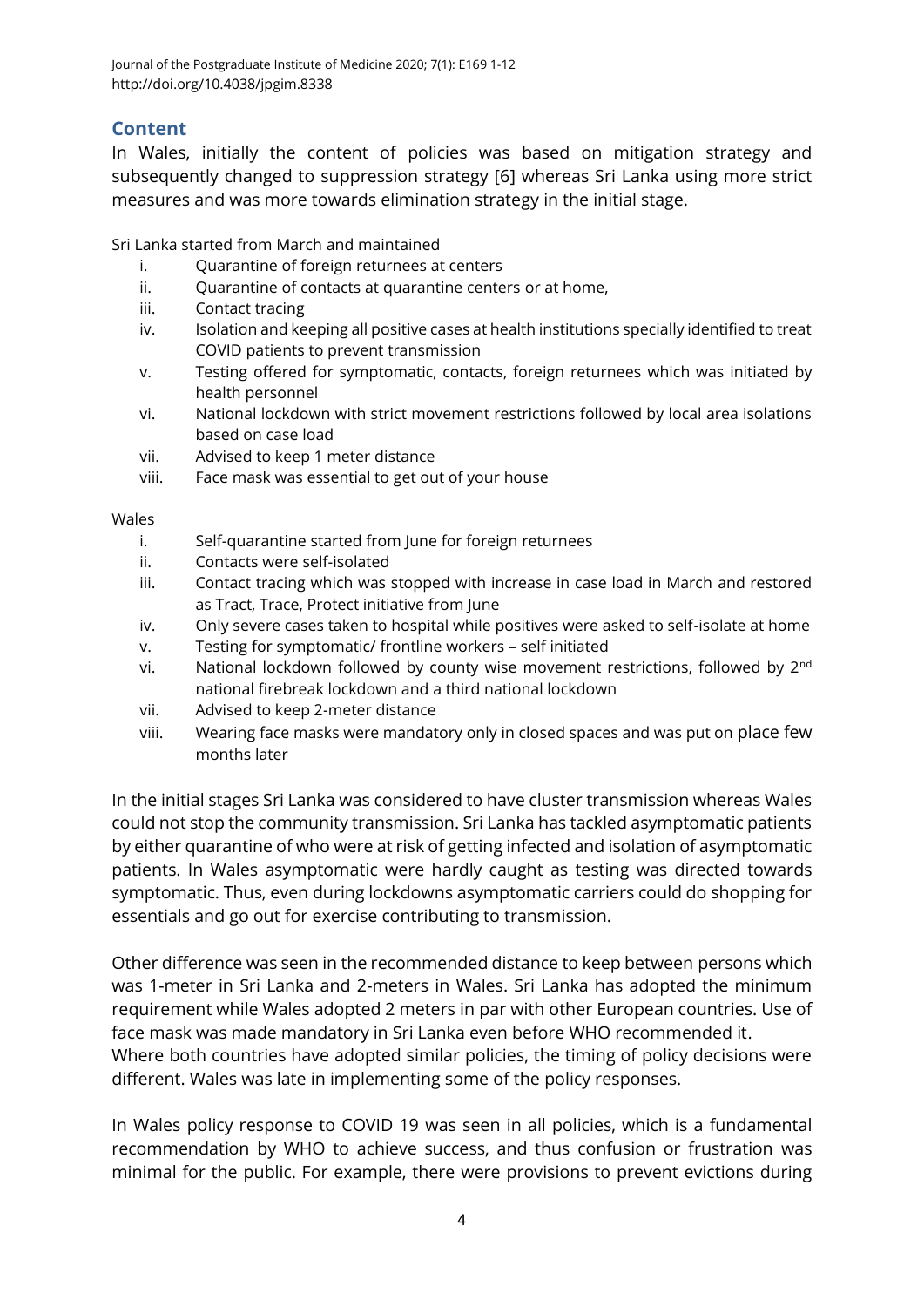## **Content**

In Wales, initially the content of policies was based on mitigation strategy and subsequently changed to suppression strategy [\[6\]](#page-8-5) whereas Sri Lanka using more strict measures and was more towards elimination strategy in the initial stage.

Sri Lanka started from March and maintained

- i. Ouarantine of foreign returnees at centers
- ii. Quarantine of contacts at quarantine centers or at home,
- iii. Contact tracing
- iv. Isolation and keeping all positive cases at health institutions specially identified to treat COVID patients to prevent transmission
- v. Testing offered for symptomatic, contacts, foreign returnees which was initiated by health personnel
- vi. National lockdown with strict movement restrictions followed by local area isolations based on case load
- vii. Advised to keep 1 meter distance
- viii. Face mask was essential to get out of your house

#### Wales

- i. Self-quarantine started from June for foreign returnees
- ii. Contacts were self-isolated
- iii. Contact tracing which was stopped with increase in case load in March and restored as Tract, Trace, Protect initiative from June
- iv. Only severe cases taken to hospital while positives were asked to self-isolate at home
- v. Testing for symptomatic/ frontline workers self initiated
- vi. National lockdown followed by county wise movement restrictions, followed by 2<sup>nd</sup> national firebreak lockdown and a third national lockdown
- vii. Advised to keep 2-meter distance
- viii. Wearing face masks were mandatory only in closed spaces and was put on place few months later

In the initial stages Sri Lanka was considered to have cluster transmission whereas Wales could not stop the community transmission. Sri Lanka has tackled asymptomatic patients by either quarantine of who were at risk of getting infected and isolation of asymptomatic patients. In Wales asymptomatic were hardly caught as testing was directed towards symptomatic. Thus, even during lockdowns asymptomatic carriers could do shopping for essentials and go out for exercise contributing to transmission.

Other difference was seen in the recommended distance to keep between persons which was 1-meter in Sri Lanka and 2-meters in Wales. Sri Lanka has adopted the minimum requirement while Wales adopted 2 meters in par with other European countries. Use of face mask was made mandatory in Sri Lanka even before WHO recommended it. Where both countries have adopted similar policies, the timing of policy decisions were different. Wales was late in implementing some of the policy responses.

In Wales policy response to COVID 19 was seen in all policies, which is a fundamental recommendation by WHO to achieve success, and thus confusion or frustration was minimal for the public. For example, there were provisions to prevent evictions during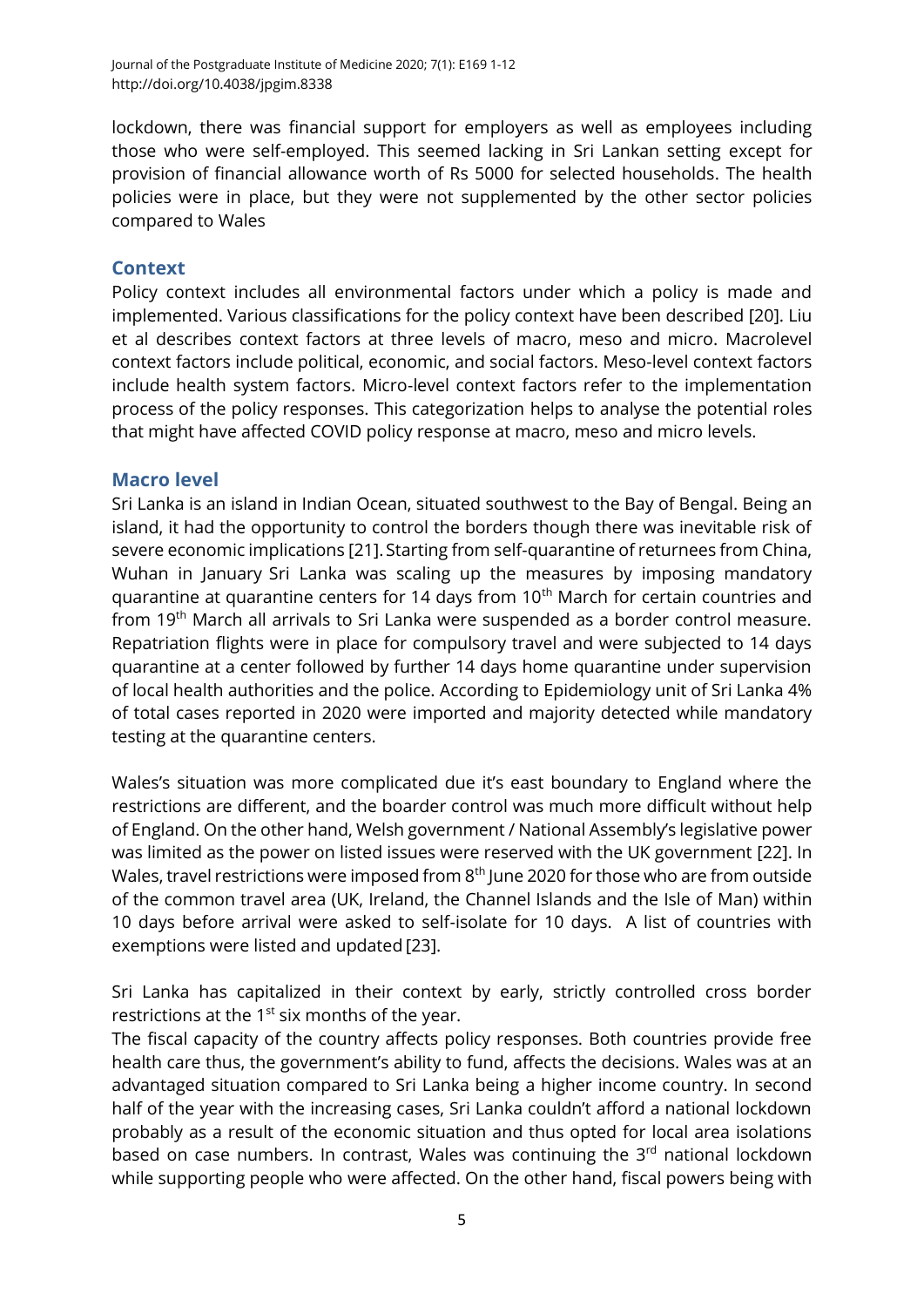lockdown, there was financial support for employers as well as employees including those who were self-employed. This seemed lacking in Sri Lankan setting except for provision of financial allowance worth of Rs 5000 for selected households. The health policies were in place, but they were not supplemented by the other sector policies compared to Wales

## **Context**

Policy context includes all environmental factors under which a policy is made and implemented. Various classifications for the policy context have been described [\[20\]](#page-10-0). Liu et al describes context factors at three levels of macro, meso and micro. Macrolevel context factors include political, economic, and social factors. Meso-level context factors include health system factors. Micro-level context factors refer to the implementation process of the policy responses. This categorization helps to analyse the potential roles that might have affected COVID policy response at macro, meso and micro levels.

### **Macro level**

Sri Lanka is an island in Indian Ocean, situated southwest to the Bay of Bengal. Being an island, it had the opportunity to control the borders though there was inevitable risk of severe economic implications [\[21\]](#page-10-1).Starting from self-quarantine of returnees from China, Wuhan in January Sri Lanka was scaling up the measures by imposing mandatory quarantine at quarantine centers for 14 days from 10<sup>th</sup> March for certain countries and from 19th March all arrivals to Sri Lanka were suspended as a border control measure. Repatriation flights were in place for compulsory travel and were subjected to 14 days quarantine at a center followed by further 14 days home quarantine under supervision of local health authorities and the police. According to Epidemiology unit of Sri Lanka 4% of total cases reported in 2020 were imported and majority detected while mandatory testing at the quarantine centers.

Wales's situation was more complicated due it's east boundary to England where the restrictions are different, and the boarder control was much more difficult without help of England. On the other hand, Welsh government / National Assembly's legislative power was limited as the power on listed issues were reserved with the UK government [\[22\]](#page-10-2). In Wales, travel restrictions were imposed from  $8<sup>th</sup>$  June 2020 for those who are from outside of the common travel area (UK, Ireland, the Channel Islands and the Isle of Man) within 10 days before arrival were asked to self-isolate for 10 days. A list of countries with exemptions were listed and updated [\[23\]](#page-10-3).

Sri Lanka has capitalized in their context by early, strictly controlled cross border restrictions at the  $1<sup>st</sup>$  six months of the year.

The fiscal capacity of the country affects policy responses. Both countries provide free health care thus, the government's ability to fund, affects the decisions. Wales was at an advantaged situation compared to Sri Lanka being a higher income country. In second half of the year with the increasing cases, Sri Lanka couldn't afford a national lockdown probably as a result of the economic situation and thus opted for local area isolations based on case numbers. In contrast, Wales was continuing the  $3<sup>rd</sup>$  national lockdown while supporting people who were affected. On the other hand, fiscal powers being with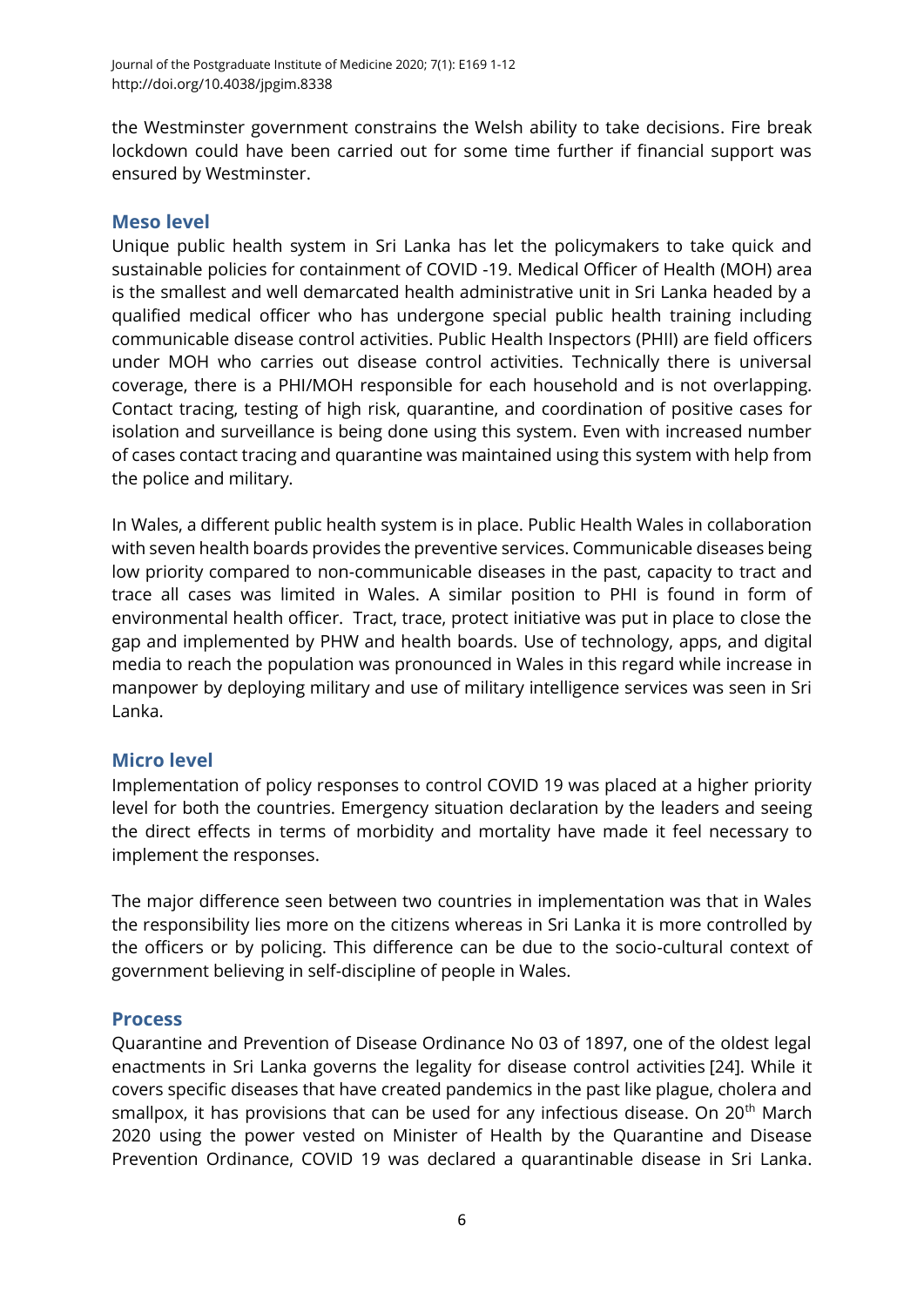the Westminster government constrains the Welsh ability to take decisions. Fire break lockdown could have been carried out for some time further if financial support was ensured by Westminster.

### **Meso level**

Unique public health system in Sri Lanka has let the policymakers to take quick and sustainable policies for containment of COVID -19. Medical Officer of Health (MOH) area is the smallest and well demarcated health administrative unit in Sri Lanka headed by a qualified medical officer who has undergone special public health training including communicable disease control activities. Public Health Inspectors (PHII) are field officers under MOH who carries out disease control activities. Technically there is universal coverage, there is a PHI/MOH responsible for each household and is not overlapping. Contact tracing, testing of high risk, quarantine, and coordination of positive cases for isolation and surveillance is being done using this system. Even with increased number of cases contact tracing and quarantine was maintained using this system with help from the police and military.

In Wales, a different public health system is in place. Public Health Wales in collaboration with seven health boards provides the preventive services. Communicable diseases being low priority compared to non-communicable diseases in the past, capacity to tract and trace all cases was limited in Wales. A similar position to PHI is found in form of environmental health officer. Tract, trace, protect initiative was put in place to close the gap and implemented by PHW and health boards. Use of technology, apps, and digital media to reach the population was pronounced in Wales in this regard while increase in manpower by deploying military and use of military intelligence services was seen in Sri Lanka.

### **Micro level**

Implementation of policy responses to control COVID 19 was placed at a higher priority level for both the countries. Emergency situation declaration by the leaders and seeing the direct effects in terms of morbidity and mortality have made it feel necessary to implement the responses.

The major difference seen between two countries in implementation was that in Wales the responsibility lies more on the citizens whereas in Sri Lanka it is more controlled by the officers or by policing. This difference can be due to the socio-cultural context of government believing in self-discipline of people in Wales.

### **Process**

Quarantine and Prevention of Disease Ordinance No 03 of 1897, one of the oldest legal enactments in Sri Lanka governs the legality for disease control activities [\[24\]](#page-10-4). While it covers specific diseases that have created pandemics in the past like plague, cholera and smallpox, it has provisions that can be used for any infectious disease. On 20<sup>th</sup> March 2020 using the power vested on Minister of Health by the Quarantine and Disease Prevention Ordinance, COVID 19 was declared a quarantinable disease in Sri Lanka.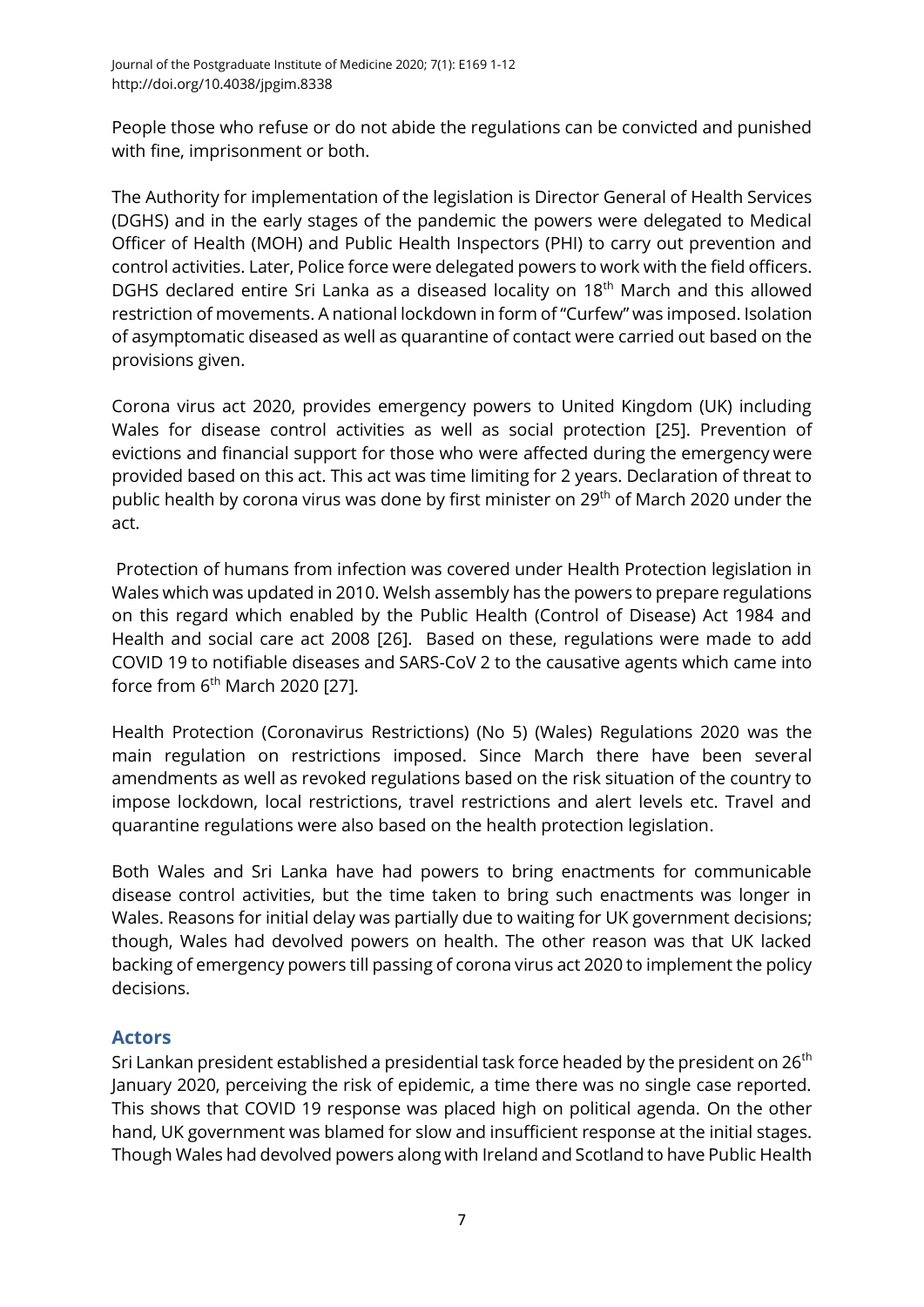People those who refuse or do not abide the regulations can be convicted and punished with fine, imprisonment or both.

The Authority for implementation of the legislation is Director General of Health Services (DGHS) and in the early stages of the pandemic the powers were delegated to Medical Officer of Health (MOH) and Public Health Inspectors (PHI) to carry out prevention and control activities. Later, Police force were delegated powers to work with the field officers. DGHS declared entire Sri Lanka as a diseased locality on 18<sup>th</sup> March and this allowed restriction of movements. A national lockdown in form of "Curfew" was imposed. Isolation of asymptomatic diseased as well as quarantine of contact were carried out based on the provisions given.

Corona virus act 2020, provides emergency powers to United Kingdom (UK) including Wales for disease control activities as well as social protection [\[25\]](#page-10-5). Prevention of evictions and financial support for those who were affected during the emergency were provided based on this act. This act was time limiting for 2 years. Declaration of threat to public health by corona virus was done by first minister on 29<sup>th</sup> of March 2020 under the act.

Protection of humans from infection was covered under Health Protection legislation in Wales which was updated in 2010. Welsh assembly has the powers to prepare regulations on this regard which enabled by the Public Health (Control of Disease) Act 1984 and Health and social care act 2008 [\[26\]](#page-10-6). Based on these, regulations were made to add COVID 19 to notifiable diseases and SARS-CoV 2 to the causative agents which came into force from  $6<sup>th</sup>$  March 2020 [\[27\]](#page-10-7).

Health Protection (Coronavirus Restrictions) (No 5) (Wales) Regulations 2020 was the main regulation on restrictions imposed. Since March there have been several amendments as well as revoked regulations based on the risk situation of the country to impose lockdown, local restrictions, travel restrictions and alert levels etc. Travel and quarantine regulations were also based on the health protection legislation.

Both Wales and Sri Lanka have had powers to bring enactments for communicable disease control activities, but the time taken to bring such enactments was longer in Wales. Reasons for initial delay was partially due to waiting for UK government decisions; though, Wales had devolved powers on health. The other reason was that UK lacked backing of emergency powers till passing of corona virus act 2020 to implement the policy decisions.

## **Actors**

Sri Lankan president established a presidential task force headed by the president on 26<sup>th</sup> January 2020, perceiving the risk of epidemic, a time there was no single case reported. This shows that COVID 19 response was placed high on political agenda. On the other hand, UK government was blamed for slow and insufficient response at the initial stages. Though Wales had devolved powers along with Ireland and Scotland to have Public Health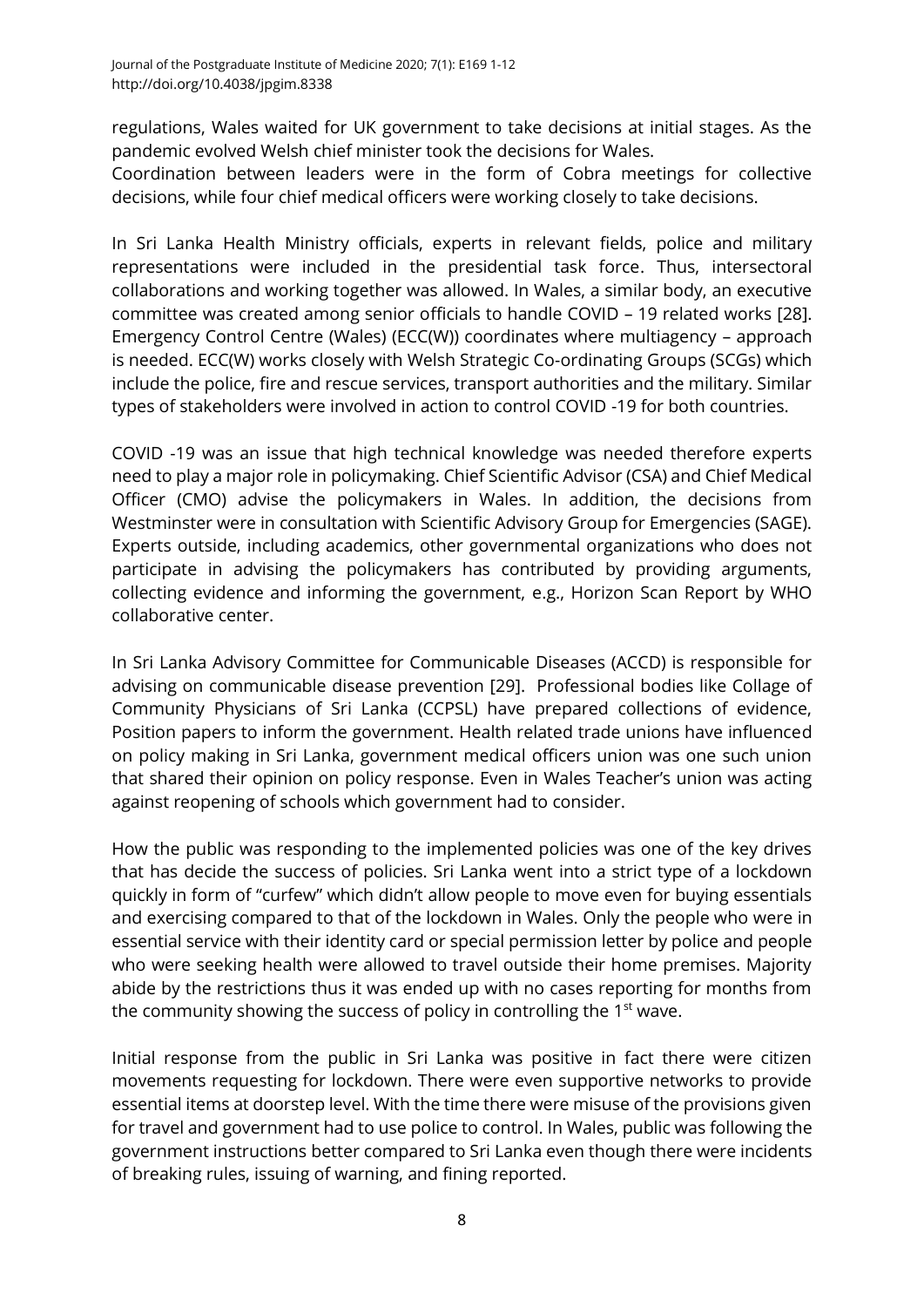regulations, Wales waited for UK government to take decisions at initial stages. As the pandemic evolved Welsh chief minister took the decisions for Wales.

Coordination between leaders were in the form of Cobra meetings for collective decisions, while four chief medical officers were working closely to take decisions.

In Sri Lanka Health Ministry officials, experts in relevant fields, police and military representations were included in the presidential task force. Thus, intersectoral collaborations and working together was allowed. In Wales, a similar body, an executive committee was created among senior officials to handle COVID – 19 related works [\[28\]](#page-10-8). Emergency Control Centre (Wales) (ECC(W)) coordinates where multiagency – approach is needed. ECC(W) works closely with Welsh Strategic Co-ordinating Groups (SCGs) which include the police, fire and rescue services, transport authorities and the military. Similar types of stakeholders were involved in action to control COVID -19 for both countries.

COVID -19 was an issue that high technical knowledge was needed therefore experts need to play a major role in policymaking. Chief Scientific Advisor (CSA) and Chief Medical Officer (CMO) advise the policymakers in Wales. In addition, the decisions from Westminster were in consultation with Scientific Advisory Group for Emergencies (SAGE). Experts outside, including academics, other governmental organizations who does not participate in advising the policymakers has contributed by providing arguments, collecting evidence and informing the government, e.g., Horizon Scan Report by WHO collaborative center.

In Sri Lanka Advisory Committee for Communicable Diseases (ACCD) is responsible for advising on communicable disease prevention [\[29\]](#page-10-9). Professional bodies like Collage of Community Physicians of Sri Lanka (CCPSL) have prepared collections of evidence, Position papers to inform the government. Health related trade unions have influenced on policy making in Sri Lanka, government medical officers union was one such union that shared their opinion on policy response. Even in Wales Teacher's union was acting against reopening of schools which government had to consider.

How the public was responding to the implemented policies was one of the key drives that has decide the success of policies. Sri Lanka went into a strict type of a lockdown quickly in form of "curfew" which didn't allow people to move even for buying essentials and exercising compared to that of the lockdown in Wales. Only the people who were in essential service with their identity card or special permission letter by police and people who were seeking health were allowed to travel outside their home premises. Majority abide by the restrictions thus it was ended up with no cases reporting for months from the community showing the success of policy in controlling the 1<sup>st</sup> wave.

Initial response from the public in Sri Lanka was positive in fact there were citizen movements requesting for lockdown. There were even supportive networks to provide essential items at doorstep level. With the time there were misuse of the provisions given for travel and government had to use police to control. In Wales, public was following the government instructions better compared to Sri Lanka even though there were incidents of breaking rules, issuing of warning, and fining reported.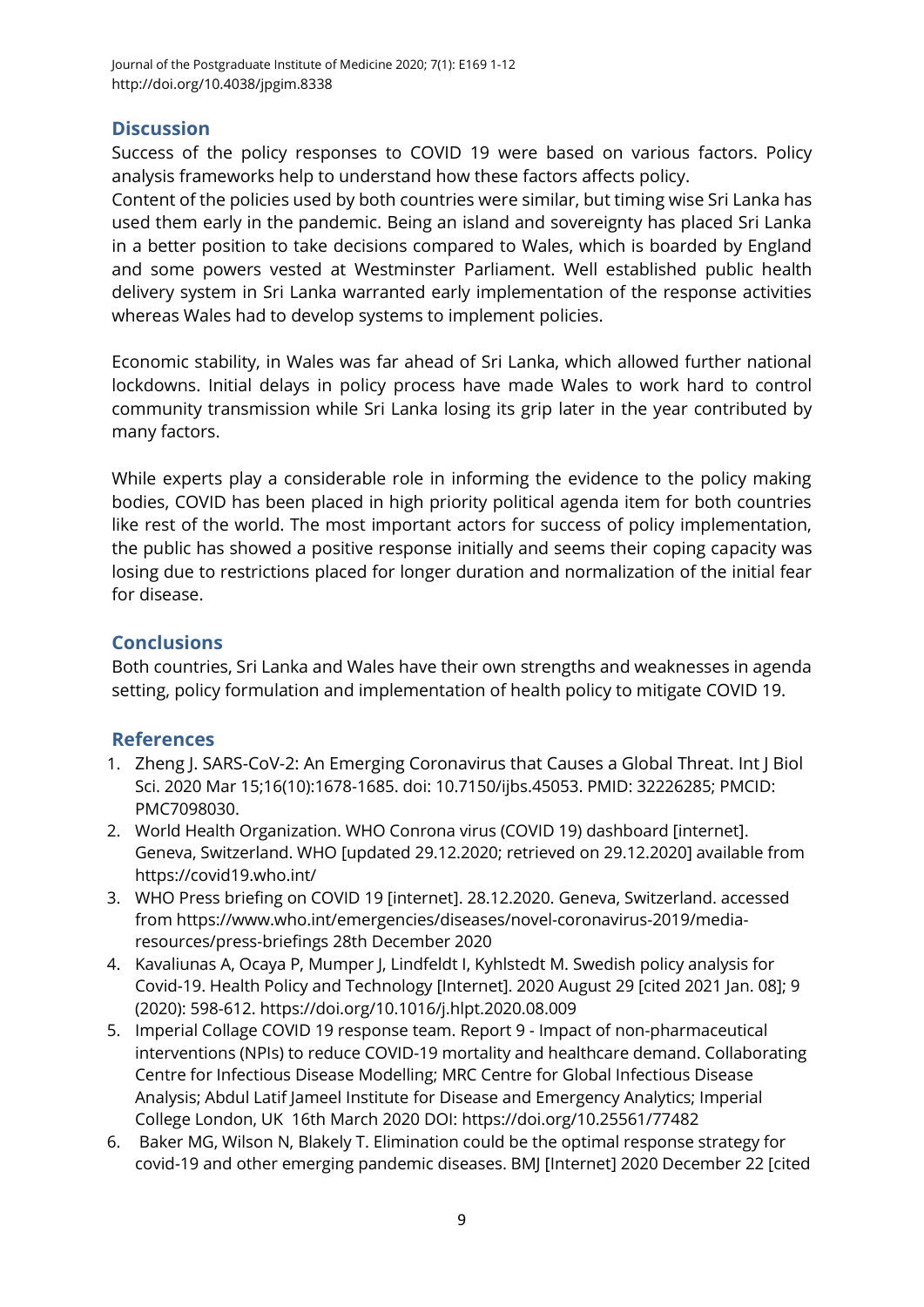## **Discussion**

Success of the policy responses to COVID 19 were based on various factors. Policy analysis frameworks help to understand how these factors affects policy.

Content of the policies used by both countries were similar, but timing wise Sri Lanka has used them early in the pandemic. Being an island and sovereignty has placed Sri Lanka in a better position to take decisions compared to Wales, which is boarded by England and some powers vested at Westminster Parliament. Well established public health delivery system in Sri Lanka warranted early implementation of the response activities whereas Wales had to develop systems to implement policies.

Economic stability, in Wales was far ahead of Sri Lanka, which allowed further national lockdowns. Initial delays in policy process have made Wales to work hard to control community transmission while Sri Lanka losing its grip later in the year contributed by many factors.

While experts play a considerable role in informing the evidence to the policy making bodies, COVID has been placed in high priority political agenda item for both countries like rest of the world. The most important actors for success of policy implementation, the public has showed a positive response initially and seems their coping capacity was losing due to restrictions placed for longer duration and normalization of the initial fear for disease.

## **Conclusions**

Both countries, Sri Lanka and Wales have their own strengths and weaknesses in agenda setting, policy formulation and implementation of health policy to mitigate COVID 19.

## **References**

- <span id="page-8-0"></span>1. Zheng J. SARS-CoV-2: An Emerging Coronavirus that Causes a Global Threat. Int J Biol Sci. 2020 Mar 15;16(10):1678-1685. doi: 10.7150/ijbs.45053. PMID: 32226285; PMCID: PMC7098030.
- <span id="page-8-1"></span>2. World Health Organization. WHO Conrona virus (COVID 19) dashboard [internet]. Geneva, Switzerland. WHO [updated 29.12.2020; retrieved on 29.12.2020] available from <https://covid19.who.int/>
- <span id="page-8-2"></span>3. WHO Press briefing on COVID 19 [internet]. 28.12.2020. Geneva, Switzerland. accessed fro[m https://www.who.int/emergencies/diseases/novel-coronavirus-2019/media](https://www.who.int/emergencies/diseases/novel-coronavirus-2019/media-resources/press-briefings%2028th%20December%202020)[resources/press-briefings 28th December 2020](https://www.who.int/emergencies/diseases/novel-coronavirus-2019/media-resources/press-briefings%2028th%20December%202020)
- <span id="page-8-3"></span>4. Kavaliunas A, Ocaya P, Mumper J, Lindfeldt I, Kyhlstedt M. Swedish policy analysis for Covid-19. Health Policy and Technology [Internet]. 2020 August 29 [cited 2021 Jan. 08]; 9 (2020): 598-612. https://doi.org/10.1016/j.hlpt.2020.08.009
- <span id="page-8-4"></span>5. Imperial Collage COVID 19 response team. Report 9 - Impact of non-pharmaceutical interventions (NPIs) to reduce COVID-19 mortality and healthcare demand. Collaborating Centre for Infectious Disease Modelling; MRC Centre for Global Infectious Disease Analysis; Abdul Latif Jameel Institute for Disease and Emergency Analytics; Imperial College London, UK 16th March 2020 DOI:<https://doi.org/10.25561/77482>
- <span id="page-8-5"></span>6. Baker MG, Wilson N, Blakely T. Elimination could be the optimal response strategy for covid-19 and other emerging pandemic diseases. BMJ [Internet] 2020 December 22 [cited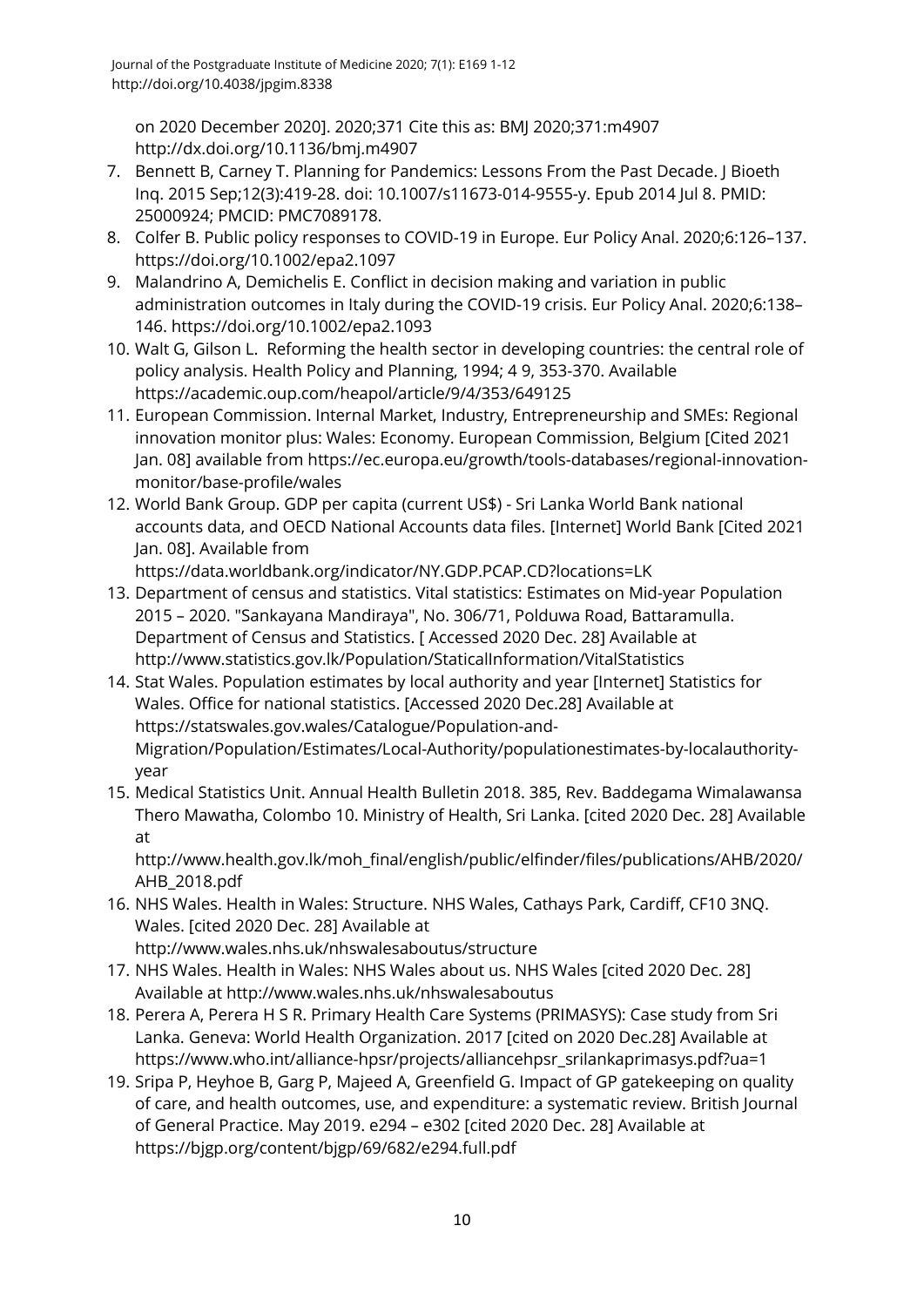on 2020 December 2020]. 2020;371 Cite this as: BMJ 2020;371:m4907 <http://dx.doi.org/10.1136/bmj.m4907>

- <span id="page-9-0"></span>7. Bennett B, Carney T. Planning for Pandemics: Lessons From the Past Decade. J Bioeth Inq. 2015 Sep;12(3):419-28. doi: 10.1007/s11673-014-9555-y. Epub 2014 Jul 8. PMID: 25000924; PMCID: PMC7089178.
- <span id="page-9-1"></span>8. Colfer B. Public policy responses to COVID-19 in Europe. Eur Policy Anal. 2020;6:126–137. <https://doi.org/10.1002/epa2.1097>
- <span id="page-9-2"></span>9. Malandrino A, Demichelis E. Conflict in decision making and variation in public administration outcomes in Italy during the COVID-19 crisis. Eur Policy Anal. 2020;6:138– 146.<https://doi.org/10.1002/epa2.1093>
- <span id="page-9-3"></span>10. Walt G, Gilson L. Reforming the health sector in developing countries: the central role of policy analysis. Health Policy and Planning, 1994; 4 9, 353-370. Available <https://academic.oup.com/heapol/article/9/4/353/649125>
- <span id="page-9-4"></span>11. European Commission. Internal Market, Industry, Entrepreneurship and SMEs: Regional innovation monitor plus: Wales: Economy. European Commission, Belgium [Cited 2021 Jan. 08] available from [https://ec.europa.eu/growth/tools-databases/regional-innovation](https://ec.europa.eu/growth/tools-databases/regional-innovation-monitor/base-profile/wales)[monitor/base-profile/wales](https://ec.europa.eu/growth/tools-databases/regional-innovation-monitor/base-profile/wales)
- <span id="page-9-5"></span>12. World Bank Group. GDP per capita (current US\$) - Sri Lanka World Bank national accounts data, and OECD National Accounts data files. [Internet] World Bank [Cited 2021 Jan. 08]. Available from

```
https://data.worldbank.org/indicator/NY.GDP.PCAP.CD?locations=LK
```
- <span id="page-9-6"></span>13. Department of census and statistics. Vital statistics: Estimates on Mid-year Population 2015 – 2020. "Sankayana Mandiraya", No. 306/71, Polduwa Road, Battaramulla. Department of Census and Statistics. [ Accessed 2020 Dec. 28] Available at <http://www.statistics.gov.lk/Population/StaticalInformation/VitalStatistics>
- <span id="page-9-7"></span>14. Stat Wales. Population estimates by local authority and year [Internet] Statistics for Wales. Office for national statistics. [Accessed 2020 Dec.28] Available at [https://statswales.gov.wales/Catalogue/Population-and-](https://statswales.gov.wales/Catalogue/Population-and-Migration/Population/Estimates/Local-Authority/populationestimates-by-localauthority-year)[Migration/Population/Estimates/Local-Authority/populationestimates-by-localauthority](https://statswales.gov.wales/Catalogue/Population-and-Migration/Population/Estimates/Local-Authority/populationestimates-by-localauthority-year)[year](https://statswales.gov.wales/Catalogue/Population-and-Migration/Population/Estimates/Local-Authority/populationestimates-by-localauthority-year)
- <span id="page-9-8"></span>15. Medical Statistics Unit. Annual Health Bulletin 2018. 385, Rev. Baddegama Wimalawansa Thero Mawatha, Colombo 10. Ministry of Health, Sri Lanka. [cited 2020 Dec. 28] Available at

[http://www.health.gov.lk/moh\\_final/english/public/elfinder/files/publications/AHB/2020/](http://www.health.gov.lk/moh_final/english/public/elfinder/files/publications/AHB/2020/AHB_2018.pdf) [AHB\\_2018.pdf](http://www.health.gov.lk/moh_final/english/public/elfinder/files/publications/AHB/2020/AHB_2018.pdf)

- <span id="page-9-9"></span>16. NHS Wales. Health in Wales: Structure. NHS Wales, Cathays Park, Cardiff, CF10 3NQ. Wales. [cited 2020 Dec. 28] Available at <http://www.wales.nhs.uk/nhswalesaboutus/structure>
- <span id="page-9-10"></span>17. NHS Wales. Health in Wales: NHS Wales about us. NHS Wales [cited 2020 Dec. 28] Available at<http://www.wales.nhs.uk/nhswalesaboutus>
- <span id="page-9-11"></span>18. Perera A, Perera H S R. Primary Health Care Systems (PRIMASYS): Case study from Sri Lanka. Geneva: World Health Organization. 2017 [cited on 2020 Dec.28] Available at [https://www.who.int/alliance-hpsr/projects/alliancehpsr\\_srilankaprimasys.pdf?ua=1](https://www.who.int/alliance-hpsr/projects/alliancehpsr_srilankaprimasys.pdf?ua=1)
- <span id="page-9-12"></span>19. Sripa P, Heyhoe B, Garg P, Majeed A, Greenfield G. Impact of GP gatekeeping on quality of care, and health outcomes, use, and expenditure: a systematic review. British Journal of General Practice. May 2019. e294 – e302 [cited 2020 Dec. 28] Available at <https://bjgp.org/content/bjgp/69/682/e294.full.pdf>